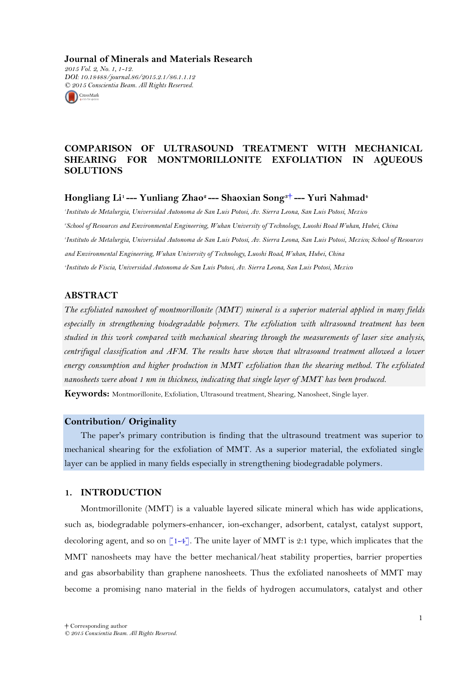**Journal of Minerals and Materials Research** *2015 Vol. 2, No. 1, 1-12. DOI: 10.18488/journal.86/2015.2.1/86.1.1.12 © 2015 Conscientia Beam. All Rights Reserved.*



# **COMPARISON OF ULTRASOUND TREATMENT WITH MECHANICAL SHEARING FOR MONTMORILLONITE EXFOLIATION IN AQUEOUS SOLUTIONS**

**Hongliang Li1 --- Yunliang Zhao2 --- Shaoxian Song3**[†](#page-0-0) **--- Yuri Nahmad<sup>4</sup>**

 *Instituto de Metalurgia, Universidad Autonoma de San Luis Potosi, Av. Sierra Leona, San Luis Potosi, Mexico School of Resources and Environmental Engineering, Wuhan University of Technology, Luoshi Road Wuhan, Hubei, China Instituto de Metalurgia, Universidad Autonoma de San Luis Potosi, Av. Sierra Leona, San Luis Potosi, Mexico; School of Resources and Environmental Engineering, Wuhan University of Technology, Luoshi Road, Wuhan, Hubei, China Instituto de Fiscia, Universidad Autonoma de San Luis Potosi, Av. Sierra Leona, San Luis Potosi, Mexico*

## **ABSTRACT**

*The exfoliated nanosheet of montmorillonite (MMT) mineral is a superior material applied in many fields especially in strengthening biodegradable polymers. The exfoliation with ultrasound treatment has been studied in this work compared with mechanical shearing through the measurements of laser size analysis, centrifugal classification and AFM. The results have shown that ultrasound treatment allowed a lower energy consumption and higher production in MMT exfoliation than the shearing method. The exfoliated nanosheets were about 1 nm in thickness, indicating that single layer of MMT has been produced.*

**Keywords:** Montmorillonite, Exfoliation, Ultrasound treatment, Shearing, Nanosheet, Single layer.

### **Contribution/ Originality**

The paper's primary contribution is finding that the ultrasound treatment was superior to mechanical shearing for the exfoliation of MMT. As a superior material, the exfoliated single layer can be applied in many fields especially in strengthening biodegradable polymers.

## **1. INTRODUCTION**

<span id="page-0-0"></span>Montmorillonite (MMT) is a valuable layered silicate mineral which has wide applications, such as, biodegradable polymers-enhancer, ion-exchanger, adsorbent, catalyst, catalyst support, decoloring agent, and so on  $[1-4]$ . The unite layer of MMT is 2:1 type, which implicates that the MMT nanosheets may have the better mechanical/heat stability properties, barrier properties and gas absorbability than graphene nanosheets. Thus the exfoliated nanosheets of MMT may become a promising nano material in the fields of hydrogen accumulators, catalyst and other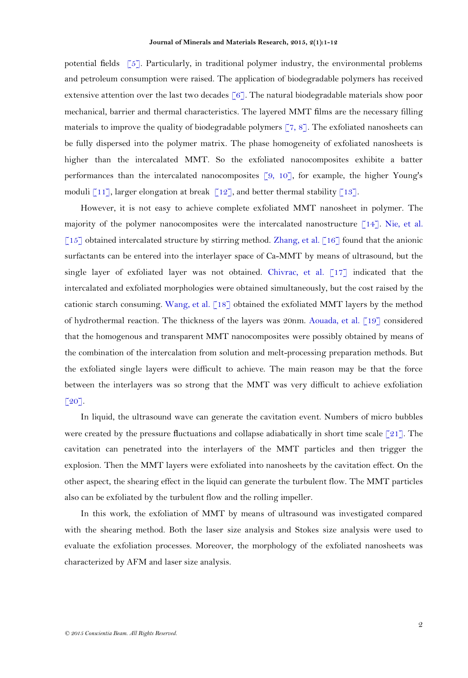potential fields  $\lceil 5 \rceil$ . Particularly, in traditional polymer industry, the environmental problems and petroleum consumption were raised. The application of biodegradable polymers has received extensive attention over the last two decades  $\lceil 6 \rceil$ . The natural biodegradable materials show poor mechanical, barrier and thermal characteristics. The layered MMT films are the necessary filling materials to improve the quality of biodegradable polymers  $\lceil 7, 8 \rceil$ . The exfoliated nanosheets can be fully dispersed into the polymer matrix. The phase homogeneity of exfoliated nanosheets is higher than the intercalated MMT. So the exfoliated nanocomposites exhibite a batter performances than the intercalated nanocomposites  $\lceil 9, 10 \rceil$ , for example, the higher Young's moduli  $\lceil 11 \rceil$ , larger elongation at break  $\lceil 12 \rceil$ , and better thermal stability  $\lceil 13 \rceil$ .

However, it is not easy to achieve complete exfoliated MMT nanosheet in polymer. The majority of the polymer nanocomposites were the intercalated nanostructure [\[14\]](#page-11-1). [Nie, et al.](#page-11-2)   $[15]$  obtained intercalated structure by stirring method. Zhang, et al.  $[16]$  found that the anionic surfactants can be entered into the interlayer space of Ca-MMT by means of ultrasound, but the single layer of exfoliated layer was not obtained. [Chivrac, et al. \[17\]](#page-11-4) indicated that the intercalated and exfoliated morphologies were obtained simultaneously, but the cost raised by the cationic starch consuming. [Wang, et al. \[18\]](#page-11-5) obtained the exfoliated MMT layers by the method of hydrothermal reaction. The thickness of the layers was 20nm. [Aouada, et al. \[19\]](#page-11-6) considered that the homogenous and transparent MMT nanocomposites were possibly obtained by means of the combination of the intercalation from solution and melt-processing preparation methods. But the exfoliated single layers were difficult to achieve. The main reason may be that the force between the interlayers was so strong that the MMT was very difficult to achieve exfoliation  $[20]$ .

In liquid, the ultrasound wave can generate the cavitation event. Numbers of micro bubbles were created by the pressure fluctuations and collapse adiabatically in short time scale [\[21\]](#page-11-8). The cavitation can penetrated into the interlayers of the MMT particles and then trigger the explosion. Then the MMT layers were exfoliated into nanosheets by the cavitation effect. On the other aspect, the shearing effect in the liquid can generate the [turbulent](file:///C:/C:/Users/Administrator/AppData/Local/Microsoft/AppData/Local/Microsoft/Windows/Temporary%20Internet%20Files/Content.Outlook/AppData/Local/Microsoft/Windows/Temporary%20Internet%20Files/lihongliang/AppData/Local/Yodao/DeskDict/frame/20141125092721/javascript:void(0);) [flow.](file:///C:/C:/Users/Administrator/AppData/Local/Microsoft/AppData/Local/Microsoft/Windows/Temporary%20Internet%20Files/Content.Outlook/AppData/Local/Microsoft/Windows/Temporary%20Internet%20Files/lihongliang/AppData/Local/Yodao/DeskDict/frame/20141125092721/javascript:void(0);) The MMT particles also can be exfoliated by the [turbulent](file:///C:/C:/Users/Administrator/AppData/Local/Microsoft/AppData/Local/Microsoft/Windows/Temporary%20Internet%20Files/Content.Outlook/AppData/Local/Microsoft/Windows/Temporary%20Internet%20Files/lihongliang/AppData/Local/Yodao/DeskDict/frame/20141125092721/javascript:void(0);) [flow](file:///C:/C:/Users/Administrator/AppData/Local/Microsoft/AppData/Local/Microsoft/Windows/Temporary%20Internet%20Files/Content.Outlook/AppData/Local/Microsoft/Windows/Temporary%20Internet%20Files/lihongliang/AppData/Local/Yodao/DeskDict/frame/20141125092721/javascript:void(0);) and the rolling impeller.

In this work, the exfoliation of MMT by means of ultrasound was investigated compared with the shearing method. Both the laser size analysis and Stokes size analysis were used to evaluate the exfoliation processes. Moreover, the [morphology](file:///C:/C:/Users/Administrator/AppData/Local/Microsoft/AppData/Local/Microsoft/Windows/Temporary%20Internet%20Files/Content.Outlook/AppData/Local/Microsoft/Windows/Temporary%20Internet%20Files/lihongliang/AppData/Local/Yodao/DeskDict/frame/20141125092721/javascript:void(0);) of the exfoliated nanosheets was characterized by AFM and laser size analysis.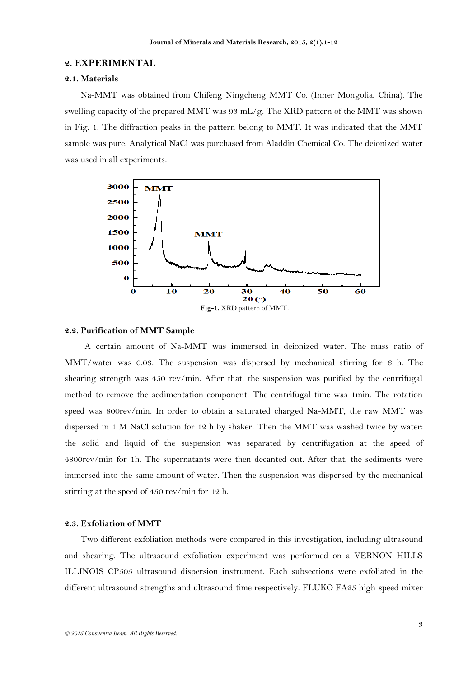## **2. EXPERIMENTAL**

### **2.1. Materials**

Na-MMT was obtained from Chifeng Ningcheng MMT Co. (Inner Mongolia, China). The swelling capacity of the prepared MMT was 93 mL/g. The XRD pattern of the MMT was shown in Fig. 1. The diffraction peaks in the pattern belong to MMT. It was indicated that the MMT sample was pure. Analytical NaCl was purchased from Aladdin Chemical Co. The deionized water was used in all experiments.



#### **2.2. Purification of MMT Sample**

A certain amount of Na-MMT was immersed in deionized water. The mass ratio of MMT/water was 0.03. The suspension was dispersed by mechanical stirring for 6 h. The shearing strength was 450 rev/min. After that, the suspension was purified by the centrifugal method to remove the sedimentation component. The centrifugal time was 1min. The rotation speed was 800rev/min. In order to obtain a saturated charged Na-MMT, the raw MMT was dispersed in 1 M NaCl solution for 12 h by shaker. Then the MMT was washed twice by water: the solid and liquid of the suspension was separated by centrifugation at the speed of 4800rev/min for 1h. The supernatants were then decanted out. After that, the sediments were immersed into the same amount of water. Then the suspension was dispersed by the mechanical stirring at the speed of 450 rev/min for 12 h.

## **2.3. Exfoliation of MMT**

Two different exfoliation methods were compared in this investigation, including ultrasound and shearing. The ultrasound exfoliation experiment was performed on a VERNON HILLS ILLINOIS CP505 ultrasound dispersion instrument. Each subsections were exfoliated in the different ultrasound strengths and ultrasound time respectively. FLUKO FA25 high speed mixer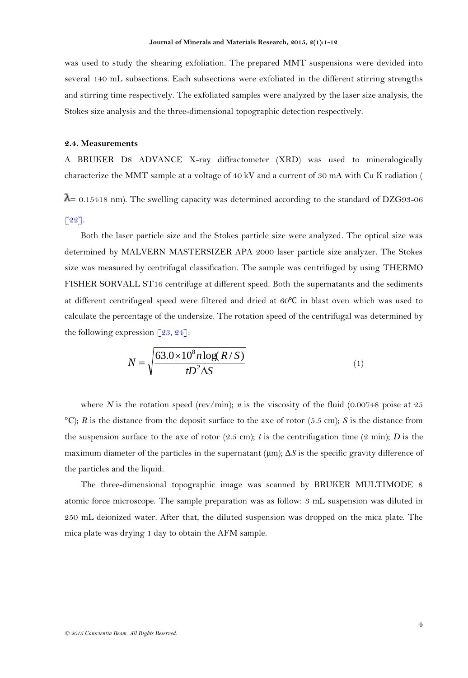was used to study the shearing exfoliation. The prepared MMT suspensions were devided into several 140 mL subsections. Each subsections were exfoliated in the different stirring strengths and stirring time respectively. The exfoliated samples were analyzed by the laser size analysis, the Stokes size analysis and the three-dimensional topographic detection respectively.

### **2.4. Measurements**

A BRUKER D8 ADVANCE X-ray diffractometer (XRD) was used to mineralogically characterize the MMT sample at a voltage of 40 kV and a current of 30 mA with Cu K radiation (

 $\lambda$  = 0.15418 nm). The swelling capacity was determined according to the standard of DZG93-06 [\[22\]](#page-11-9).

Both the laser particle size and the Stokes particle size were analyzed. The optical size was determined by MALVERN MASTERSIZER APA 2000 laser particle size analyzer. The Stokes size was measured by centrifugal classification. The sample was centrifuged by using THERMO FISHER SORVALL ST16 centrifuge at different speed. Both the supernatants and the sediments at different centrifugeal speed were filtered and dried at 60℃ in blast oven which was used to calculate the percentage of the undersize. The rotation speed of the centrifugal was determined by the following expression  $\lceil 23, 24 \rceil$ :

$$
N = \sqrt{\frac{63.0 \times 10^8 n \log(R/S)}{t D^2 \Delta S}}
$$
 (1)

where *N* is the rotation speed (rev/min); *n* is the viscosity of the fluid (0.00748 poise at 25 °C); *R* is the distance from the deposit surface to the axe of rotor (5.5 cm); *S* is the distance from the suspension surface to the axe of rotor  $(2.5 \text{ cm})$ ; *t* is the centrifugation time  $(2 \text{ min})$ ; *D* is the maximum diameter of the particles in the supernatant (μm); Δ*S* is the specific gravity difference of the particles and the liquid.

The three-dimensional topographic image was scanned by BRUKER MULTIMODE 8 atomic force microscope. The sample preparation was as follow: 3 mL suspension was diluted in 250 mL deionized water. After that, the diluted suspension was dropped on the mica plate. The mica plate was drying 1 day to obtain the AFM sample.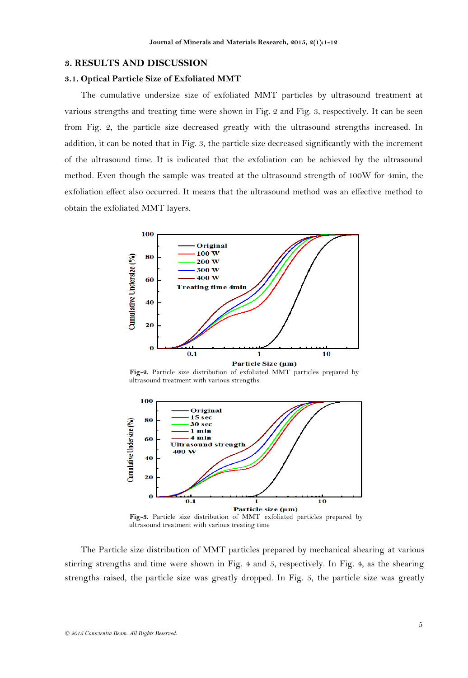### **3. RESULTS AND DISCUSSION**

#### **3.1. Optical Particle Size of Exfoliated MMT**

The cumulative undersize size of exfoliated MMT particles by ultrasound treatment at various strengths and treating time were shown in Fig. 2 and Fig. 3, respectively. It can be seen from Fig. 2, the particle size decreased greatly with the ultrasound strengths increased. In addition, it can be noted that in Fig. 3, the particle size decreased significantly with the increment of the ultrasound time. It is indicated that the exfoliation can be achieved by the ultrasound method. Even though the sample was treated at the ultrasound strength of 100W for 4min, the exfoliation effect also occurred. It means that the ultrasound method was an effective method to obtain the exfoliated MMT layers.



**Fig-2.** Particle size distribution of exfoliated MMT particles prepared by ultrasound treatment with various strengths.



The Particle size distribution of MMT particles prepared by mechanical shearing at various stirring strengths and time were shown in Fig. 4 and 5, respectively. In Fig. 4, as the shearing strengths raised, the particle size was greatly dropped. In Fig. 5, the particle size was greatly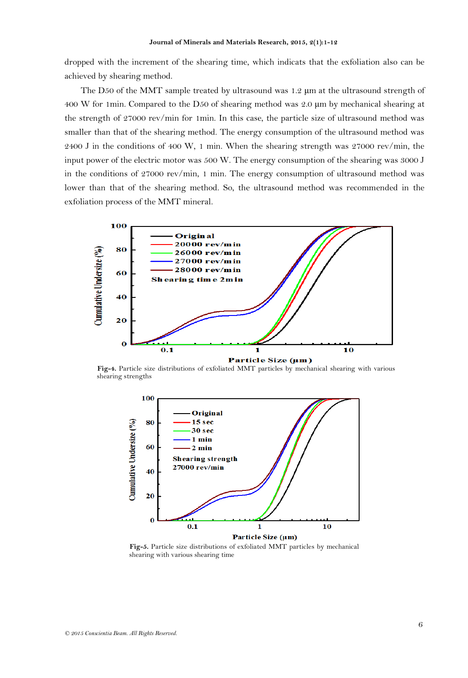dropped with the increment of the shearing time, which indicats that the exfoliation also can be achieved by shearing method.

The D50 of the MMT sample treated by ultrasound was 1.2  $\mu$ m at the ultrasound strength of 400 W for 1min. Compared to the D50 of shearing method was 2.0 μm by mechanical shearing at the strength of 27000 rev/min for 1min. In this case, the particle size of ultrasound method was smaller than that of the shearing method. The energy consumption of the ultrasound method was 2400 J in the conditions of 400 W, 1 min. When the shearing strength was 27000 rev/min, the input power of the electric motor was 500 W. The energy consumption of the shearing was 3000 J in the conditions of 27000 rev/min, 1 min. The energy consumption of ultrasound method was lower than that of the shearing method. So, the ultrasound method was recommended in the exfoliation process of the MMT mineral.



**Fig-4.** Particle size distributions of exfoliated MMT particles by mechanical shearing with various shearing strengths



**Fig-5.** Particle size distributions of exfoliated MMT particles by mechanical shearing with various shearing time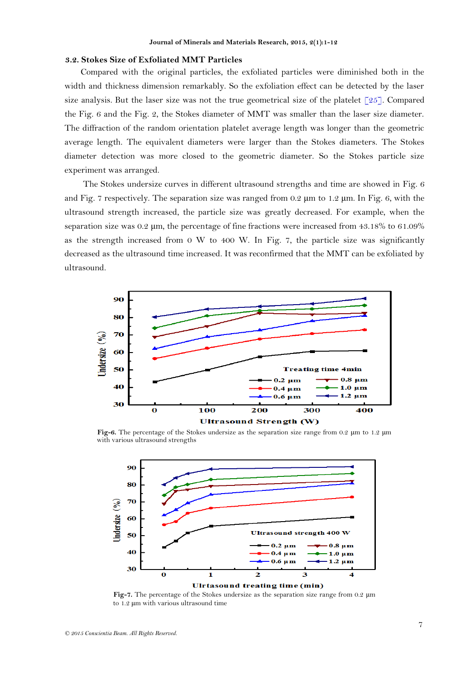#### **3.2. Stokes Size of Exfoliated MMT Particles**

Compared with the original particles, the exfoliated particles were diminished both in the width and thickness dimension remarkably. So the exfoliation effect can be detected by the laser size analysis. But the laser size was not the true geometrical size of the platelet  $\lceil 25 \rceil$ . Compared the Fig. 6 and the Fig. 2, the Stokes diameter of MMT was smaller than the laser size diameter. The diffraction of the random orientation platelet average length was longer than the geometric average length. The equivalent diameters were larger than the Stokes diameters. The Stokes diameter detection was more closed to the geometric diameter. So the Stokes particle size experiment was arranged.

The Stokes undersize curves in different ultrasound strengths and time are showed in Fig. 6 and Fig. 7 respectively. The separation size was ranged from  $0.2 \mu m$  to  $1.2 \mu m$ . In Fig. 6, with the ultrasound strength increased, the particle size was greatly decreased. For example, when the separation size was 0.2 μm, the percentage of fine fractions were increased from 43.18% to 61.09% as the strength increased from 0 W to 400 W. In Fig. 7, the particle size was significantly decreased as the ultrasound time increased. It was reconfirmed that the MMT can be exfoliated by ultrasound.



**Fig-6.** The percentage of the Stokes undersize as the separation size range from 0.2 μm to 1.2 μm with various ultrasound strengths



**Fig-7.** The percentage of the Stokes undersize as the separation size range from 0.2 μm to 1.2 μm with various ultrasound time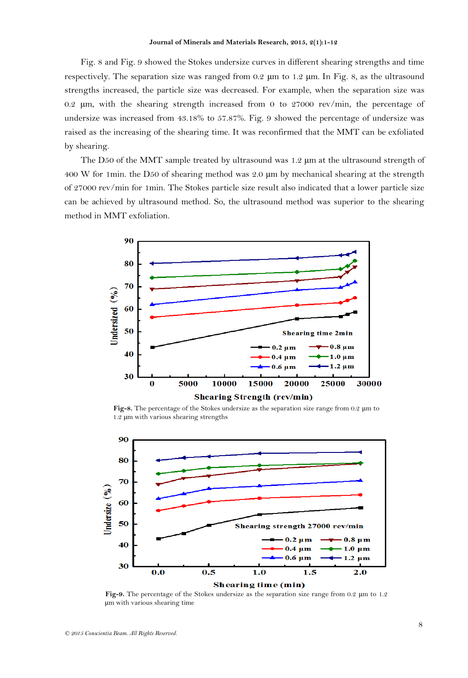Fig. 8 and Fig. 9 showed the Stokes undersize curves in different shearing strengths and time respectively. The separation size was ranged from  $0.2 \mu m$  to  $1.2 \mu m$ . In Fig. 8, as the ultrasound strengths increased, the particle size was decreased. For example, when the separation size was 0.2 μm, with the shearing strength increased from 0 to 27000 rev/min, the percentage of undersize was increased from 43.18% to 57.87%. Fig. 9 showed the percentage of undersize was raised as the increasing of the shearing time. It was reconfirmed that the MMT can be exfoliated by shearing.

The D50 of the MMT sample treated by ultrasound was 1.2  $\mu$ m at the ultrasound strength of 400 W for 1min. the D50 of shearing method was 2.0 μm by mechanical shearing at the strength of 27000 rev/min for 1min. The Stokes particle size result also indicated that a lower particle size can be achieved by ultrasound method. So, the ultrasound method was superior to the shearing method in MMT exfoliation.



**Fig-8.** The percentage of the Stokes undersize as the separation size range from 0.2 μm to 1.2 μm with various shearing strengths



**Fig-9.** The percentage of the Stokes undersize as the separation size range from 0.2 μm to 1.2 μm with various shearing time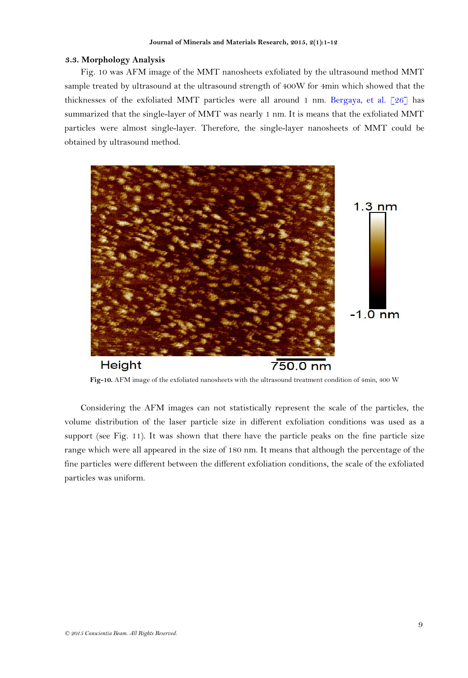### **3.3. [Morphology](file:///C:/C:/Users/Administrator/AppData/Local/Microsoft/AppData/Local/Microsoft/Windows/Temporary%20Internet%20Files/Content.Outlook/AppData/Local/Microsoft/Windows/Temporary%20Internet%20Files/lihongliang/AppData/Local/Yodao/DeskDict/frame/20141125092721/javascript:void(0);) Analysis**

Fig. 10 was AFM image of the MMT nanosheets exfoliated by the ultrasound method MMT sample treated by ultrasound at the ultrasound strength of 400W for 4min which showed that the thicknesses of the exfoliated MMT particles were all around 1 nm. [Bergaya, et al. \[26\]](#page-11-13) has summarized that the single-layer of MMT was nearly 1 nm. It is means that the exfoliated MMT particles were almost single-layer. Therefore, the single-layer nanosheets of MMT could be obtained by ultrasound method.



**Fig-10.** AFM image of the exfoliated nanosheets with the ultrasound treatment condition of 4min, 400 W

Considering the AFM images can not statistically represent the scale of the particles, the volume distribution of the laser particle size in different exfoliation conditions was used as a support (see Fig. 11). It was shown that there have the particle peaks on the fine particle size range which were all appeared in the size of 180 nm. It means that although the percentage of the fine particles were different between the different exfoliation conditions, the scale of the exfoliated particles was uniform.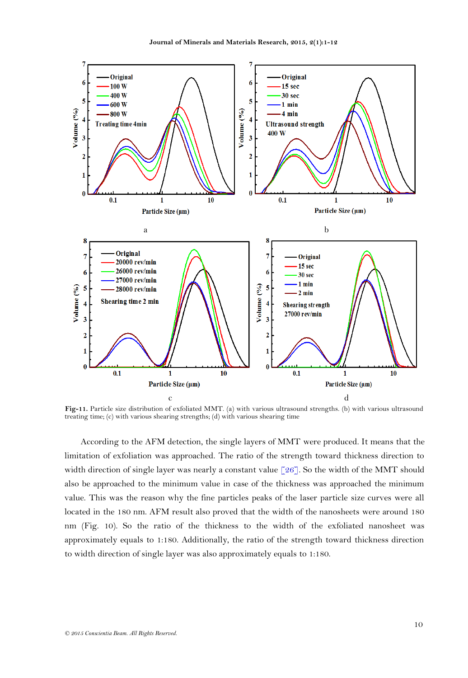

**Fig-11.** Particle size distribution of exfoliated MMT. (a) with various ultrasound strengths. (b) with various ultrasound treating time; (c) with various shearing strengths; (d) with various shearing time

According to the AFM detection, the single layers of MMT were produced. It means that the limitation of exfoliation was approached. The ratio of the strength toward thickness direction to width direction of single layer was nearly a constant value  $\lceil 26 \rceil$ . So the width of the MMT should also be approached to the minimum value in case of the thickness was approached the minimum value. This was the reason why the fine particles peaks of the laser particle size curves were all located in the 180 nm. AFM result also proved that the width of the nanosheets were around 180 nm (Fig. 10). So the ratio of the thickness to the width of the exfoliated nanosheet was approximately equals to 1:180. Additionally, the ratio of the strength toward thickness direction to width direction of single layer was also approximately equals to 1:180.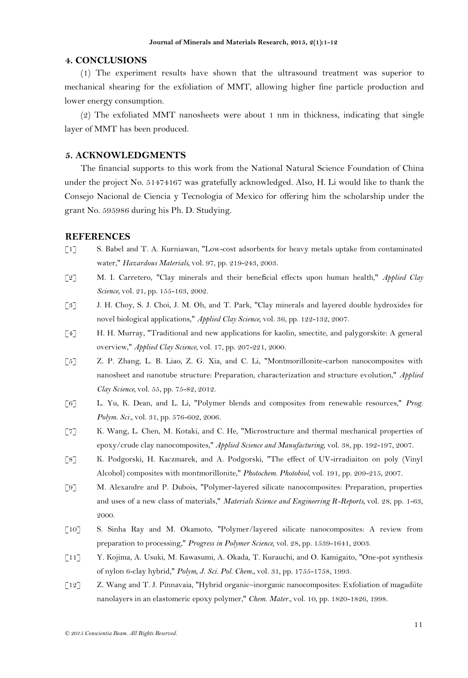### **4. CONCLUSIONS**

(1) The experiment results have shown that the ultrasound treatment was superior to mechanical shearing for the exfoliation of MMT, allowing higher fine particle production and lower energy consumption.

(2) The exfoliated MMT nanosheets were about 1 nm in thickness, indicating that single layer of MMT has been produced.

### **5. ACKNOWLEDGMENTS**

The financial supports to this work from the National Natural Science Foundation of China under the project No. 51474167 was gratefully acknowledged. Also, H. Li would like to thank the Consejo Nacional de Ciencia y Tecnologia of Mexico for offering him the scholarship under the grant No. 595986 during his Ph. D. Studying.

#### **REFERENCES**

- <span id="page-10-0"></span>[1] S. Babel and T. A. Kurniawan, "Low-cost adsorbents for heavy metals uptake from contaminated water," *Hazardous Materials,* vol. 97, pp. 219-243, 2003.
- [2] M. I. Carretero, "Clay minerals and their beneficial effects upon human health," *Applied Clay Science,* vol. 21, pp. 155-163, 2002.
- [3] J. H. Choy, S. J. Choi, J. M. Oh, and T. Park, "Clay minerals and layered double hydroxides for novel biological applications," *Applied Clay Science,* vol. 36, pp. 122-132, 2007.
- [4] H. H. Murray, "Traditional and new applications for kaolin, smectite, and palygorskite: A general overview," *Applied Clay Science,* vol. 17, pp. 207-221, 2000.
- <span id="page-10-1"></span>[5] Z. P. Zhang, L. B. Liao, Z. G. Xia, and C. Li, "Montmorillonite-carbon nanocomposites with nanosheet and nanotube structure: Preparation, characterization and structure evolution," *Applied Clay Science,* vol. 55, pp. 75-82, 2012.
- <span id="page-10-2"></span>[6] L. Yu, K. Dean, and L. Li, "Polymer blends and composites from renewable resources," *Prog. Polym. Sci.,* vol. 31, pp. 576-602, 2006.
- <span id="page-10-3"></span>[7] K. Wang, L. Chen, M. Kotaki, and C. He, "Microstructure and thermal mechanical properties of epoxy/crude clay nanocomposites," *Applied Science and Manufacturing,* vol. 38, pp. 192-197, 2007.
- <span id="page-10-4"></span>[8] K. Podgorski, H. Kaczmarek, and A. Podgorski, "The effect of UV-irradiaiton on poly (Vinyl Alcohol) composites with montmorillonite," *Photochem. Photobiol,* vol. 191, pp. 209-215, 2007.
- <span id="page-10-5"></span>[9] M. Alexandre and P. Dubois, "Polymer-layered silicate nanocomposites: Preparation, properties and uses of a new class of materials," *Materials Science and Engineering R-Reports,* vol. 28, pp. 1-63, 2000.
- <span id="page-10-6"></span>[10] S. Sinha Ray and M. Okamoto, "Polymer/layered silicate nanocomposites: A review from preparation to processing," *Progress in Polymer Science,* vol. 28, pp. 1539-1641, 2003.
- <span id="page-10-7"></span>[11] Y. Kojima, A. Usuki, M. Kawasumi, A. Okada, T. Kurauchi, and O. Kamigaito, "One-pot synthesis of nylon 6-clay hybrid," *Polym, J. Sci. Pol. Chem.,* vol. 31, pp. 1755-1758, 1993.
- <span id="page-10-8"></span>[12] Z. Wang and T. J. Pinnavaia, "Hybrid organic–inorganic nanocomposites: Exfoliation of magadiite nanolayers in an elastomeric epoxy polymer," *Chem. Mater.,* vol. 10, pp. 1820-1826, 1998.